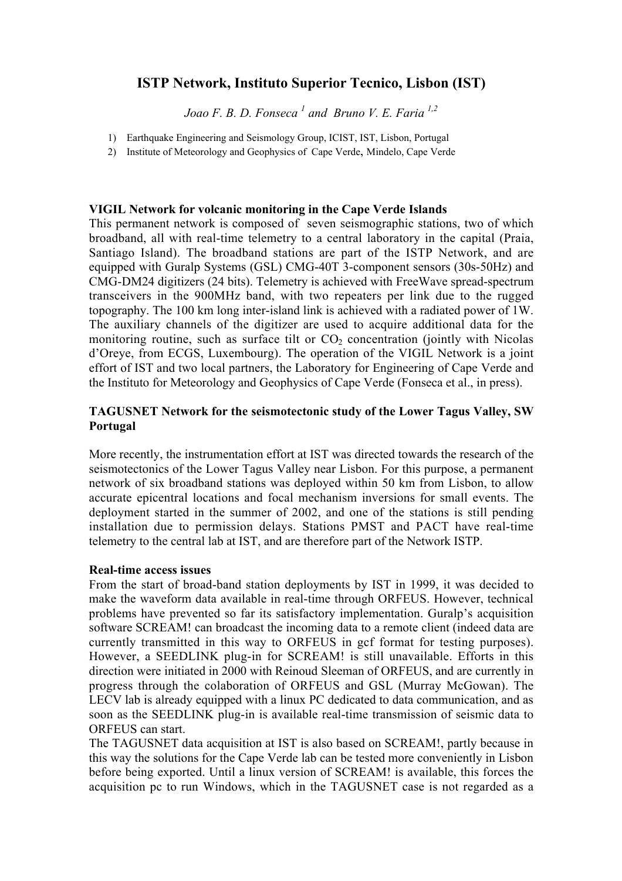## **ISTP Network, Instituto Superior Tecnico, Lisbon (IST)**

*Joao F. B. D. Fonseca <sup>1</sup> and Bruno V. E. Faria 1,2*

- 1) Earthquake Engineering and Seismology Group, ICIST, IST, Lisbon, Portugal
- 2) Institute of Meteorology and Geophysics of Cape Verde, Mindelo, Cape Verde

## **VIGIL Network for volcanic monitoring in the Cape Verde Islands**

This permanent network is composed of seven seismographic stations, two of which broadband, all with real-time telemetry to a central laboratory in the capital (Praia, Santiago Island). The broadband stations are part of the ISTP Network, and are equipped with Guralp Systems (GSL) CMG-40T 3-component sensors (30s-50Hz) and CMG-DM24 digitizers (24 bits). Telemetry is achieved with FreeWave spread-spectrum transceivers in the 900MHz band, with two repeaters per link due to the rugged topography. The 100 km long inter-island link is achieved with a radiated power of 1W. The auxiliary channels of the digitizer are used to acquire additional data for the monitoring routine, such as surface tilt or  $CO<sub>2</sub>$  concentration (jointly with Nicolas d'Oreye, from ECGS, Luxembourg). The operation of the VIGIL Network is a joint effort of IST and two local partners, the Laboratory for Engineering of Cape Verde and the Instituto for Meteorology and Geophysics of Cape Verde (Fonseca et al., in press).

## **TAGUSNET Network for the seismotectonic study of the Lower Tagus Valley, SW Portugal**

More recently, the instrumentation effort at IST was directed towards the research of the seismotectonics of the Lower Tagus Valley near Lisbon. For this purpose, a permanent network of six broadband stations was deployed within 50 km from Lisbon, to allow accurate epicentral locations and focal mechanism inversions for small events. The deployment started in the summer of 2002, and one of the stations is still pending installation due to permission delays. Stations PMST and PACT have real-time telemetry to the central lab at IST, and are therefore part of the Network ISTP.

## **Real-time access issues**

From the start of broad-band station deployments by IST in 1999, it was decided to make the waveform data available in real-time through ORFEUS. However, technical problems have prevented so far its satisfactory implementation. Guralp's acquisition software SCREAM! can broadcast the incoming data to a remote client (indeed data are currently transmitted in this way to ORFEUS in gcf format for testing purposes). However, a SEEDLINK plug-in for SCREAM! is still unavailable. Efforts in this direction were initiated in 2000 with Reinoud Sleeman of ORFEUS, and are currently in progress through the colaboration of ORFEUS and GSL (Murray McGowan). The LECV lab is already equipped with a linux PC dedicated to data communication, and as soon as the SEEDLINK plug-in is available real-time transmission of seismic data to ORFEUS can start.

The TAGUSNET data acquisition at IST is also based on SCREAM!, partly because in this way the solutions for the Cape Verde lab can be tested more conveniently in Lisbon before being exported. Until a linux version of SCREAM! is available, this forces the acquisition pc to run Windows, which in the TAGUSNET case is not regarded as a